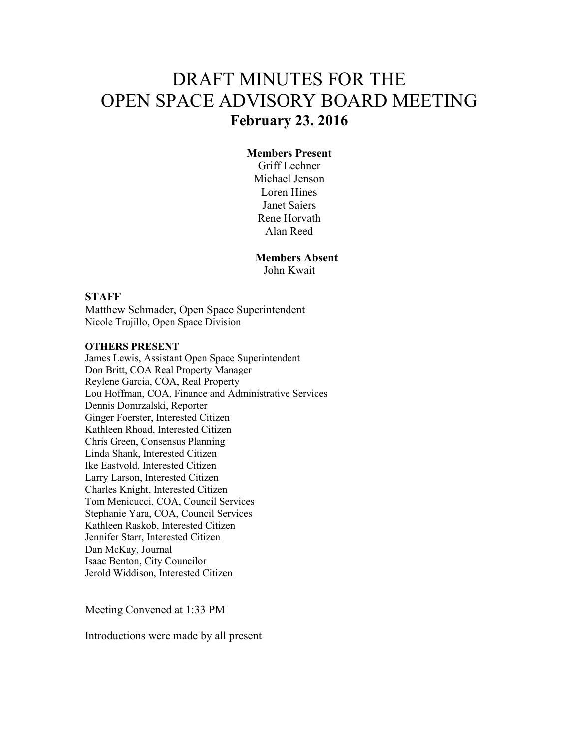# DRAFT MINUTES FOR THE OPEN SPACE ADVISORY BOARD MEETING **February 23. 2016**

### **Members Present**

Griff Lechner Michael Jenson Loren Hines Janet Saiers Rene Horvath Alan Reed

# **Members Absent**

John Kwait

#### **STAFF**

Matthew Schmader, Open Space Superintendent Nicole Trujillo, Open Space Division

#### **OTHERS PRESENT**

James Lewis, Assistant Open Space Superintendent Don Britt, COA Real Property Manager Reylene Garcia, COA, Real Property Lou Hoffman, COA, Finance and Administrative Services Dennis Domrzalski, Reporter Ginger Foerster, Interested Citizen Kathleen Rhoad, Interested Citizen Chris Green, Consensus Planning Linda Shank, Interested Citizen Ike Eastvold, Interested Citizen Larry Larson, Interested Citizen Charles Knight, Interested Citizen Tom Menicucci, COA, Council Services Stephanie Yara, COA, Council Services Kathleen Raskob, Interested Citizen Jennifer Starr, Interested Citizen Dan McKay, Journal Isaac Benton, City Councilor Jerold Widdison, Interested Citizen

Meeting Convened at 1:33 PM

Introductions were made by all present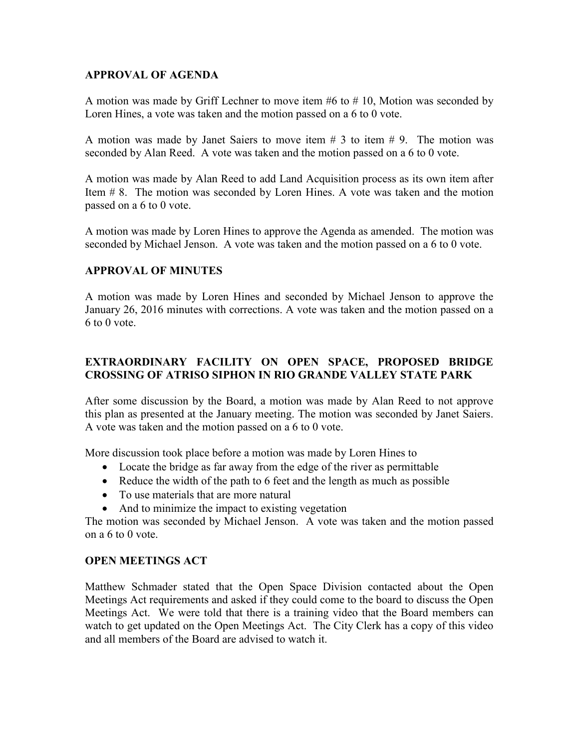## **APPROVAL OF AGENDA**

A motion was made by Griff Lechner to move item #6 to # 10, Motion was seconded by Loren Hines, a vote was taken and the motion passed on a 6 to 0 vote.

A motion was made by Janet Saiers to move item  $# 3$  to item  $# 9$ . The motion was seconded by Alan Reed. A vote was taken and the motion passed on a 6 to 0 vote.

A motion was made by Alan Reed to add Land Acquisition process as its own item after Item # 8. The motion was seconded by Loren Hines. A vote was taken and the motion passed on a 6 to 0 vote.

A motion was made by Loren Hines to approve the Agenda as amended. The motion was seconded by Michael Jenson. A vote was taken and the motion passed on a 6 to 0 vote.

## **APPROVAL OF MINUTES**

A motion was made by Loren Hines and seconded by Michael Jenson to approve the January 26, 2016 minutes with corrections. A vote was taken and the motion passed on a 6 to 0 vote.

## **EXTRAORDINARY FACILITY ON OPEN SPACE, PROPOSED BRIDGE CROSSING OF ATRISO SIPHON IN RIO GRANDE VALLEY STATE PARK**

After some discussion by the Board, a motion was made by Alan Reed to not approve this plan as presented at the January meeting. The motion was seconded by Janet Saiers. A vote was taken and the motion passed on a 6 to 0 vote.

More discussion took place before a motion was made by Loren Hines to

- Locate the bridge as far away from the edge of the river as permittable
- Reduce the width of the path to 6 feet and the length as much as possible
- To use materials that are more natural
- And to minimize the impact to existing vegetation

The motion was seconded by Michael Jenson. A vote was taken and the motion passed on a 6 to 0 vote.

#### **OPEN MEETINGS ACT**

Matthew Schmader stated that the Open Space Division contacted about the Open Meetings Act requirements and asked if they could come to the board to discuss the Open Meetings Act. We were told that there is a training video that the Board members can watch to get updated on the Open Meetings Act. The City Clerk has a copy of this video and all members of the Board are advised to watch it.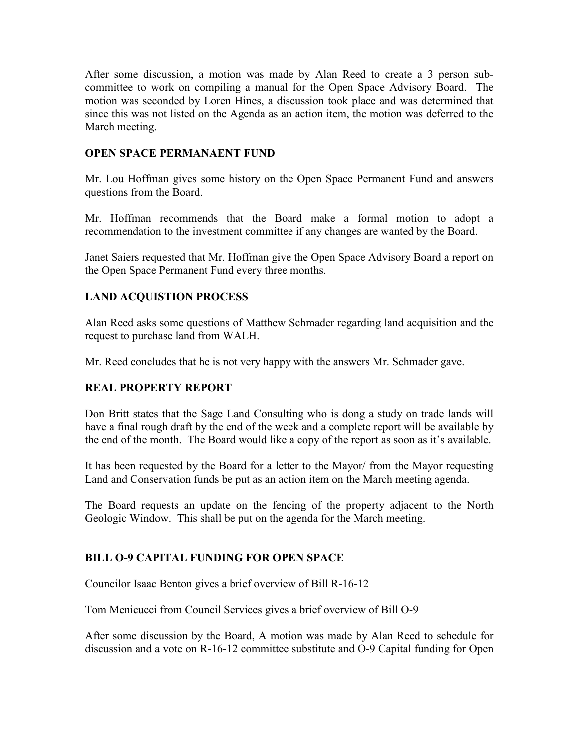After some discussion, a motion was made by Alan Reed to create a 3 person subcommittee to work on compiling a manual for the Open Space Advisory Board. The motion was seconded by Loren Hines, a discussion took place and was determined that since this was not listed on the Agenda as an action item, the motion was deferred to the March meeting.

## **OPEN SPACE PERMANAENT FUND**

Mr. Lou Hoffman gives some history on the Open Space Permanent Fund and answers questions from the Board.

Mr. Hoffman recommends that the Board make a formal motion to adopt a recommendation to the investment committee if any changes are wanted by the Board.

Janet Saiers requested that Mr. Hoffman give the Open Space Advisory Board a report on the Open Space Permanent Fund every three months.

## **LAND ACQUISTION PROCESS**

Alan Reed asks some questions of Matthew Schmader regarding land acquisition and the request to purchase land from WALH.

Mr. Reed concludes that he is not very happy with the answers Mr. Schmader gave.

## **REAL PROPERTY REPORT**

Don Britt states that the Sage Land Consulting who is dong a study on trade lands will have a final rough draft by the end of the week and a complete report will be available by the end of the month. The Board would like a copy of the report as soon as it's available.

It has been requested by the Board for a letter to the Mayor/ from the Mayor requesting Land and Conservation funds be put as an action item on the March meeting agenda.

The Board requests an update on the fencing of the property adjacent to the North Geologic Window. This shall be put on the agenda for the March meeting.

## **BILL O-9 CAPITAL FUNDING FOR OPEN SPACE**

Councilor Isaac Benton gives a brief overview of Bill R-16-12

Tom Menicucci from Council Services gives a brief overview of Bill O-9

After some discussion by the Board, A motion was made by Alan Reed to schedule for discussion and a vote on R-16-12 committee substitute and O-9 Capital funding for Open